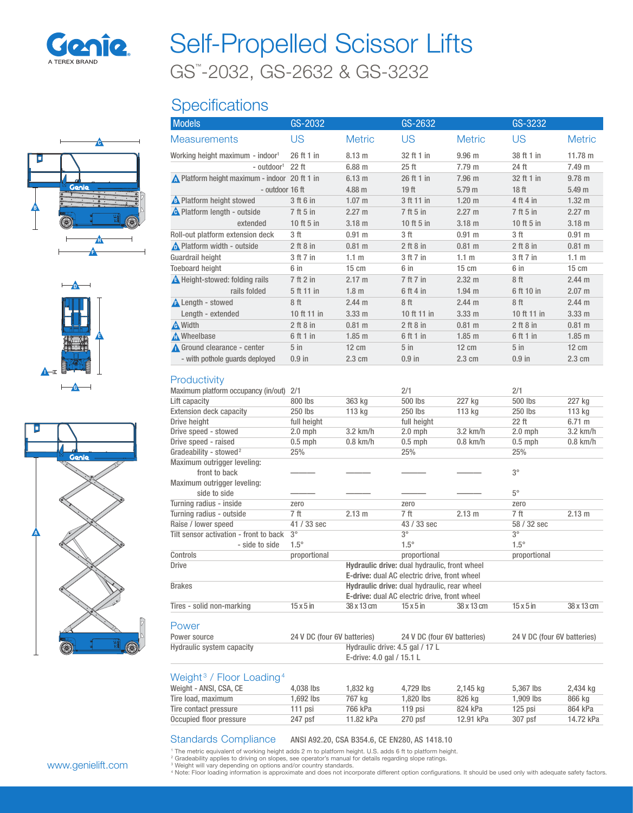

# GS™ -2032, GS-2632 & GS-3232 Self-Propelled Scissor Lifts

## **Specifications**







| <b>Models</b>                                 | GS-2032         |                  | GS-2632          |                   | GS-3232          |                   |
|-----------------------------------------------|-----------------|------------------|------------------|-------------------|------------------|-------------------|
| <b>Measurements</b>                           | US              | <b>Metric</b>    | US               | <b>Metric</b>     | US               | <b>Metric</b>     |
| Working height maximum - indoor <sup>1</sup>  | 26 ft 1 in      | $8.13 \text{ m}$ | 32 ft 1 in       | 9.96 <sub>m</sub> | 38 ft 1 in       | $11.78 \text{ m}$ |
| - outdoor <sup>1</sup>                        | $22$ ft         | 6.88 m           | $25$ ft          | 7.79 m            | 24 ft            | 7.49 m            |
| ▲ Platform height maximum - indoor 20 ft 1 in |                 | 6.13 m           | 26 ft 1 in       | 7.96 m            | 32 ft 1 in       | $9.78$ m          |
| - outdoor 16 ft                               |                 | 4.88 m           | 19 <sub>ft</sub> | 5.79 <sub>m</sub> | 18 <sub>ft</sub> | 5.49 m            |
| <b>A</b> Platform height stowed               | 3 ft 6 in       | $1.07 \text{ m}$ | 3 ft 11 in       | $1.20$ m          | 4 ft 4 in        | $1.32 \text{ m}$  |
| <b>A</b> Platform length - outside            | 7 ft 5 in       | $2.27 \text{ m}$ | 7 ft 5 in        | $2.27 \text{ m}$  | 7 ft 5 in        | $2.27 \text{ m}$  |
| extended                                      | 10 ft 5 in      | $3.18$ m         | 10 ft $5$ in     | 3.18 <sub>m</sub> | 10 ft $5$ in     | $3.18$ m          |
| Roll-out platform extension deck              | 3 ft            | $0.91 \;{\rm m}$ | 3 ft             | 0.91 m            | 3 ft             | 0.91 m            |
| Platform width - outside                      | $2$ ft $8$ in   | 0.81 m           | $2$ ft $8$ in    | $0.81 \text{ m}$  | $2$ ft $8$ in    | $0.81 \text{ m}$  |
| Guardrail height                              | 3 ft 7 in       | 1.1 <sub>m</sub> | 3 ft 7 in        | 1.1 <sub>m</sub>  | 3 ft 7 in        | 1.1 <sub>m</sub>  |
| <b>Toeboard height</b>                        | 6 in            | $15 \text{ cm}$  | 6 in             | $15 \text{ cm}$   | 6 in             | $15 \text{ cm}$   |
| A Height-stowed: folding rails                | 7 ft 2 in       | $2.17 \text{ m}$ | 7 ft 7 in        | $2.32 \text{ m}$  | 8ft              | 2.44 m            |
| rails folded                                  | 5 ft 11 in      | 1.8 <sub>m</sub> | 6 ft 4 in        | $1.94$ m          | 6 ft 10 in       | $2.07 \text{ m}$  |
| <b>A</b> Length - stowed                      | 8ft             | 2.44 m           | 8ft              | 2.44 m            | 8ft              | 2.44 m            |
| Length - extended                             | 10 ft 11 in     | $3.33 \text{ m}$ | 10 ft 11 in      | $3.33 \text{ m}$  | 10 ft 11 in      | $3.33 \text{ m}$  |
| A Width                                       | $2$ ft $8$ in   | $0.81 \;{\rm m}$ | $2$ ft $8$ in    | $0.81 \text{ m}$  | $2$ ft $8$ in    | $0.81 \text{ m}$  |
| A Wheelbase                                   | 6 ft 1 in       | 1.85 m           | 6 ft 1 in        | $1.85$ m          | 6 ft 1 in        | $1.85$ m          |
| Ground clearance - center                     | 5 <sub>in</sub> | $12 \text{ cm}$  | $5$ in           | $12 \text{ cm}$   | $5$ in           | $12 \text{ cm}$   |
| - with pothole quards deployed                | $0.9$ in        | $2.3 \text{ cm}$ | $0.9$ in         | $2.3 \text{ cm}$  | $0.9$ in         | 2.3 cm            |

#### Productivity

| <b>FIUUUULIVILY</b>                    |                             |                                                     |                                                     |            |                             |                  |
|----------------------------------------|-----------------------------|-----------------------------------------------------|-----------------------------------------------------|------------|-----------------------------|------------------|
| Maximum platform occupancy (in/out)    | 2/1                         |                                                     | 2/1                                                 |            | 2/1                         |                  |
| Lift capacity                          | 800 lbs                     | 363 kg                                              | 500 lbs                                             | 227 kg     | 500 lbs                     | 227 kg           |
| <b>Extension deck capacity</b>         | 250 lbs                     | 113 kg                                              | 250 lbs                                             | 113 kg     | 250 lbs                     | 113 kg           |
| Drive height                           | full height                 |                                                     | full height                                         |            | 22 ft                       | $6.71 \text{ m}$ |
| Drive speed - stowed                   | $2.0$ mph                   | $3.2$ km/h                                          | $2.0$ mph                                           | $3.2$ km/h | $2.0$ mph                   | $3.2$ km/h       |
| Drive speed - raised                   | $0.5$ mph                   | $0.8$ km/h                                          | $0.5$ mph                                           | $0.8$ km/h | $0.5$ mph                   | $0.8$ km/h       |
| Gradeability - stowed <sup>2</sup>     | 25%                         |                                                     | 25%                                                 |            | 25%                         |                  |
| Maximum outrigger leveling:            |                             |                                                     |                                                     |            |                             |                  |
| front to back                          |                             |                                                     |                                                     |            | $3^{\circ}$                 |                  |
| Maximum outrigger leveling:            |                             |                                                     |                                                     |            |                             |                  |
| side to side                           |                             |                                                     |                                                     |            | $5^\circ$                   |                  |
| Turning radius - inside                | zero                        |                                                     | zero                                                |            | zero                        |                  |
| Turning radius - outside               | 7 ft                        | 2.13 m                                              | 7 ft                                                | 2.13 m     | 7 ft                        | 2.13 m           |
| Raise / lower speed                    | 41 / 33 sec                 |                                                     | 43 / 33 sec                                         |            | 58 / 32 sec                 |                  |
| Tilt sensor activation - front to back | $3^{\circ}$                 |                                                     | $3^{\circ}$                                         |            | $3^{\circ}$                 |                  |
| - side to side                         | $1.5^\circ$                 |                                                     | $1.5^\circ$                                         |            | $1.5^\circ$                 |                  |
| Controls                               | proportional                |                                                     | proportional                                        |            | proportional                |                  |
| <b>Drive</b>                           |                             |                                                     | Hydraulic drive: dual hydraulic, front wheel        |            |                             |                  |
|                                        |                             |                                                     | <b>E-drive:</b> dual AC electric drive, front wheel |            |                             |                  |
| <b>Brakes</b>                          |                             | Hydraulic drive: dual hydraulic, rear wheel         |                                                     |            |                             |                  |
|                                        |                             | <b>E-drive:</b> dual AC electric drive, front wheel |                                                     |            |                             |                  |
| Tires - solid non-marking              | $15 \times 5$ in            | 38 x 13 cm                                          | $15 \times 5$ in                                    | 38 x 13 cm | $15 \times 5$ in            | 38 x 13 cm       |
| Power                                  |                             |                                                     |                                                     |            |                             |                  |
| Power source                           | 24 V DC (four 6V batteries) |                                                     | 24 V DC (four 6V batteries)                         |            | 24 V DC (four 6V batteries) |                  |
| Hydraulic system capacity              |                             | Hydraulic drive: 4.5 gal / 17 L                     |                                                     |            |                             |                  |
|                                        |                             | E-drive: 4.0 gal / 15.1 L                           |                                                     |            |                             |                  |

#### Weight<sup>3</sup> / Floor Loading<sup>4</sup>

| Weight - ANSI, CSA, CE  | 4.038 lbs | 1.832 ka  | 4.729 lbs | 2.145 kg  | 5.367 lbs   | 2,434 kg  |
|-------------------------|-----------|-----------|-----------|-----------|-------------|-----------|
| Tire load, maximum      | 1.692 lbs | 767 ka    | 1.820 lbs | 826 ka    | $1.909$ lbs | 866 ka    |
| Tire contact pressure   | 111 psi   | 766 kPa   | 119 psi   | 824 kPa   | $125$ psi   | 864 kPa   |
| Occupied floor pressure | 247 psf   | 11.82 kPa | $270$ psf | 12.91 kPa | 307 psf     | 14.72 kPa |
|                         |           |           |           |           |             |           |

#### Standards Compliance ANSI A92.20, CSA B354.6, CE EN280, AS 1418.10

' The metric equivalent of working height adds 2 m to platform height. U.S. adds 6 ft to platform height.<br><sup>2</sup> Gradeability applies to driving on slopes, see operator's manual for details regarding slope ratings.<br><sup>3</sup> Weight